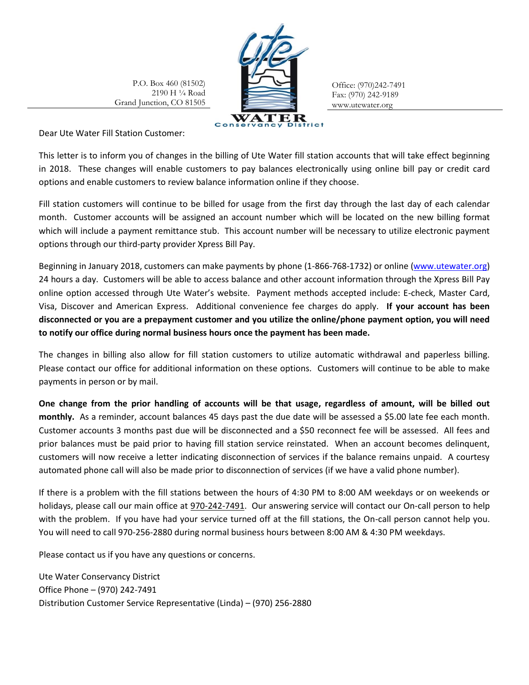P.O. Box 460 (81502) 2190 H ¼ Road Grand Junction, CO 81505



Office: (970)242-7491 Fax: (970) 242-9189 www.utewater.org

Dear Ute Water Fill Station Customer:

This letter is to inform you of changes in the billing of Ute Water fill station accounts that will take effect beginning in 2018. These changes will enable customers to pay balances electronically using online bill pay or credit card options and enable customers to review balance information online if they choose.

Fill station customers will continue to be billed for usage from the first day through the last day of each calendar month. Customer accounts will be assigned an account number which will be located on the new billing format which will include a payment remittance stub. This account number will be necessary to utilize electronic payment options through our third-party provider Xpress Bill Pay.

Beginning in January 2018, customers can make payments by phone (1-866-768-1732) or online [\(www.utewater.org\)](http://www.utewater.org/) 24 hours a day. Customers will be able to access balance and other account information through the Xpress Bill Pay online option accessed through Ute Water's website. Payment methods accepted include: E-check, Master Card, Visa, Discover and American Express. Additional convenience fee charges do apply. **If your account has been disconnected or you are a prepayment customer and you utilize the online/phone payment option, you will need to notify our office during normal business hours once the payment has been made.**

The changes in billing also allow for fill station customers to utilize automatic withdrawal and paperless billing. Please contact our office for additional information on these options. Customers will continue to be able to make payments in person or by mail.

**One change from the prior handling of accounts will be that usage, regardless of amount, will be billed out monthly.** As a reminder, account balances 45 days past the due date will be assessed a \$5.00 late fee each month. Customer accounts 3 months past due will be disconnected and a \$50 reconnect fee will be assessed. All fees and prior balances must be paid prior to having fill station service reinstated. When an account becomes delinquent, customers will now receive a letter indicating disconnection of services if the balance remains unpaid. A courtesy automated phone call will also be made prior to disconnection of services (if we have a valid phone number).

If there is a problem with the fill stations between the hours of 4:30 PM to 8:00 AM weekdays or on weekends or holidays, please call our main office at 970-242-7491. Our answering service will contact our On-call person to help with the problem. If you have had your service turned off at the fill stations, the On-call person cannot help you. You will need to call 970-256-2880 during normal business hours between 8:00 AM & 4:30 PM weekdays.

Please contact us if you have any questions or concerns.

Ute Water Conservancy District Office Phone – (970) 242-7491 Distribution Customer Service Representative (Linda) – (970) 256-2880